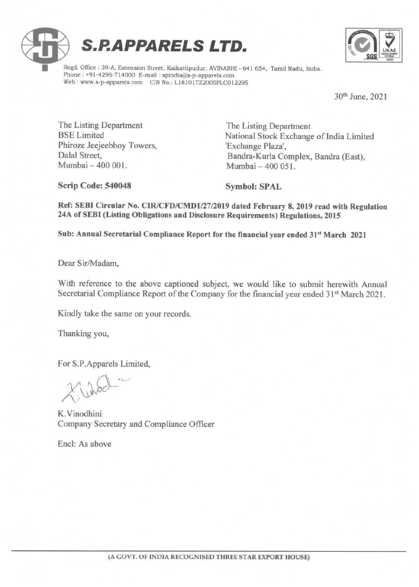



Regd. Office : 39-A, Extension Street, Kaikattipudur, AVINASHI - 641 654, Tamil Nadu, India. Phone : +91-4296-714000 E-mail : spindiad@s-p-apparels.com Web : www.s-p-apparels.com CIN No.: L18101TZ2005PLC012295

30" June, 2021

 $\frac{1}{\sqrt{2}}$ 

The Listing Department The Listing Department Phiroze Jeejeebhoy Towers, 'Exchange Plaza', Mumbai — 400 001. Mumbai — 400 051.

BSE Limited National Stock Exchange of India Limited Dalal Street, Bandra-Kurla Complex, Bandra (East),

Scrip Code: 540048 Symbol: SPAL

Ref: SEBI Circular No. CIR/CFD/CMD1/27/2019 dated February 8, 2019 read with Regulation 24A of SEBI (Listing Obligations and Disclosure Requirements) Regulations, 2015

Sub: Annual Secretarial Compliance Report for the financial year ended 31" March 2021

Dear Sir/Madam,

With reference to the above captioned subject, we would like to submit herewith Annual Secretarial Compliance Report of the Company for the financial year ended 31% March 2021.

Kindly take the same on your records.

Thanking you,

For S.P.Apparels Limited,

 $X, \text{abcd}$ 

K.Vinodhini Company Secretary and Compliance Officer Mumbai – 400 001.<br>
Scrip Code: 540048<br>
Ref: SEBI Circular No. CIR/CFD/CMD1/2<br>
24A of SEBI (Listing Obligations and Discle<br>
Sub: Annual Secretarial Compliance Repor<br>
Dear Sir/Madam,<br>
With reference to the above captioned st

Encl: As above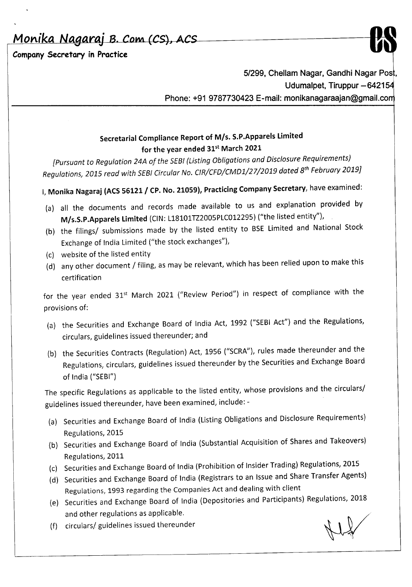*Monika*

**Company Secretary in Practice**



*5/299,* **Chellam Nagar, Gandhi Nagar Pos , Udumalpet, Tiruppur -64215 Phone: +91 9787730423 E-mail: monikanagaraajan@gmail.co**

## **Secretarial Compliance Report of** *MIs.* **S.P.Apparels Limited for the year ended** 31st **March 2021**

*[Pursuant* to *Regulation 24A of the SEBI(Usting Obligations and Disclosure Requirements) Regulations, 2015 read with SEBICircular No. ClR/CFD/CMD1/27/2019 dated 8th February 2019J*

**I, Monika Nagaraj (ACS 56121 / CP. No. 21059), Practicing Company Secretary, have examined:** 

- (a) all the documents and records made available to us and explanation provided by **M/s.S.P.Apparels Limited** (CIN: L18101TZ2005PLC012295) ("the listed entity"),
- (b) the filings/ submissions made by the listed entity to BSE Limited and National Stock Exchange of India Limited ("the stock exchanges"),
- (c) website of the listed entity
- (d) any other document / filing, as may be relevant, which has been relied upon to make this certification

for the year ended 31<sup>st</sup> March 2021 ("Review Period") in respect of compliance with the provisions of:

- (a) the Securities and Exchange Board of India Act, 1992 ("SEBI Act") and the Regulations, circulars, guidelines issued thereunder; and
- (b) the Securities Contracts (Regulation) Act, 1956 ("SCRA"), rules made thereunder and the Regulations, circulars, guidelines issued thereunder by the Securities and Exchange Board of India ("SEBI")

The specific Regulations as applicable to the listed entity, whose provisions and the circulars/ guidelines issued thereunder, have been examined, include: -

- (a) Securities and Exchange Board of India (Listing Obligations and Disclosure Requirements) Regulations, 2015
- (b) Securities and Exchange Board of India (Substantial Acquisition of Shares and Takeovers) Regulations, 2011
- (c) Securities and Exchange Board of India (Prohibition of Insider Trading) Regulations, 2015
- (d) Securities and Exchange Board of India (Registrars to an Issue and Share Transfer Agents) Regulations, 1993 regarding the Companies Act and dealing with client
- (e) Securities and Exchange Board of India (Depositories and Participants) Regulations, 2018 and other regulations as applicable.
- (f) circulars/ guidelines issued thereunder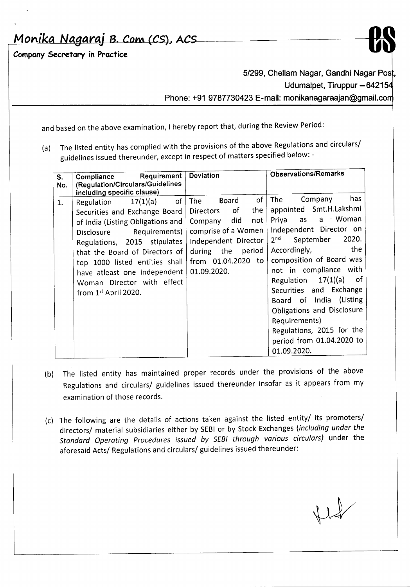*Monika Nagaraj B. Com (CS), ACS* 

Company Secretary in Practice



5/299, Chellam Nagar, Gandhi Nagar Post, Udumalpet, Tiruppur - 642154 Phone: +91 9787730423 E-mail: monikanagaraajan@gmail.com

and based on the above examination, I hereby report that, during the Review Period:

(a) The listed entity has complied with the provisions of the above Regulations and circulars/ guidelines issued thereunder, except in respect of matters specified below: -

| S.<br>No. | <b>Requirement</b><br>Compliance<br>(Regulation/Circulars/Guidelines<br>including specific clause)                                                                                                                                                                                                                            | Deviation                                                                                                                                                                     | <b>Observations/Remarks</b>                                                                                                                                                                                                                                                                                                                                                                                                                         |
|-----------|-------------------------------------------------------------------------------------------------------------------------------------------------------------------------------------------------------------------------------------------------------------------------------------------------------------------------------|-------------------------------------------------------------------------------------------------------------------------------------------------------------------------------|-----------------------------------------------------------------------------------------------------------------------------------------------------------------------------------------------------------------------------------------------------------------------------------------------------------------------------------------------------------------------------------------------------------------------------------------------------|
| 1.        | of<br>17(1)(a)<br>Regulation<br>Securities and Exchange Board<br>of India (Listing Obligations and<br>Requirements)<br>Disclosure<br>Regulations, 2015 stipulates<br>that the Board of Directors of<br>top 1000 listed entities shall<br>have atleast one Independent<br>Woman Director with effect<br>from $1st$ April 2020. | of<br>Board<br>The l<br>the<br>of<br>Directors<br>Company did<br>not<br>comprise of a Women<br>Independent Director<br>during the period<br>from 01.04.2020 to<br>01.09.2020. | has<br><b>The</b><br>Company<br>appointed Smt.H.Lakshmi<br>a Woman<br>Priya<br>as as<br>Independent Director on<br>2020.<br>2 <sup>nd</sup><br>September<br>the.<br>Accordingly,<br>composition of Board was<br>not in compliance with<br>$17(1)(a)$ of<br>Regulation<br>Securities and Exchange<br>Board of India (Listing<br>Obligations and Disclosure<br>Requirements)<br>Regulations, 2015 for the<br>period from 01.04.2020 to<br>01.09.2020. |

- (b) The listed entity has maintained proper records under the provisions of the above Regulations and circulars/ guidelines issued thereunder insofar as it appears from my examination of those records.
- (c) The following are the details of actions taken against the listed entity/ its promoters/ directors/ material subsidiaries either by SEBIor by Stock Exchanges *(including under the Standard Operating Procedures issued by SEB/ through various circulars)* under the aforesaid Acts/ Regulations and circulars/ guidelines issued thereunder: